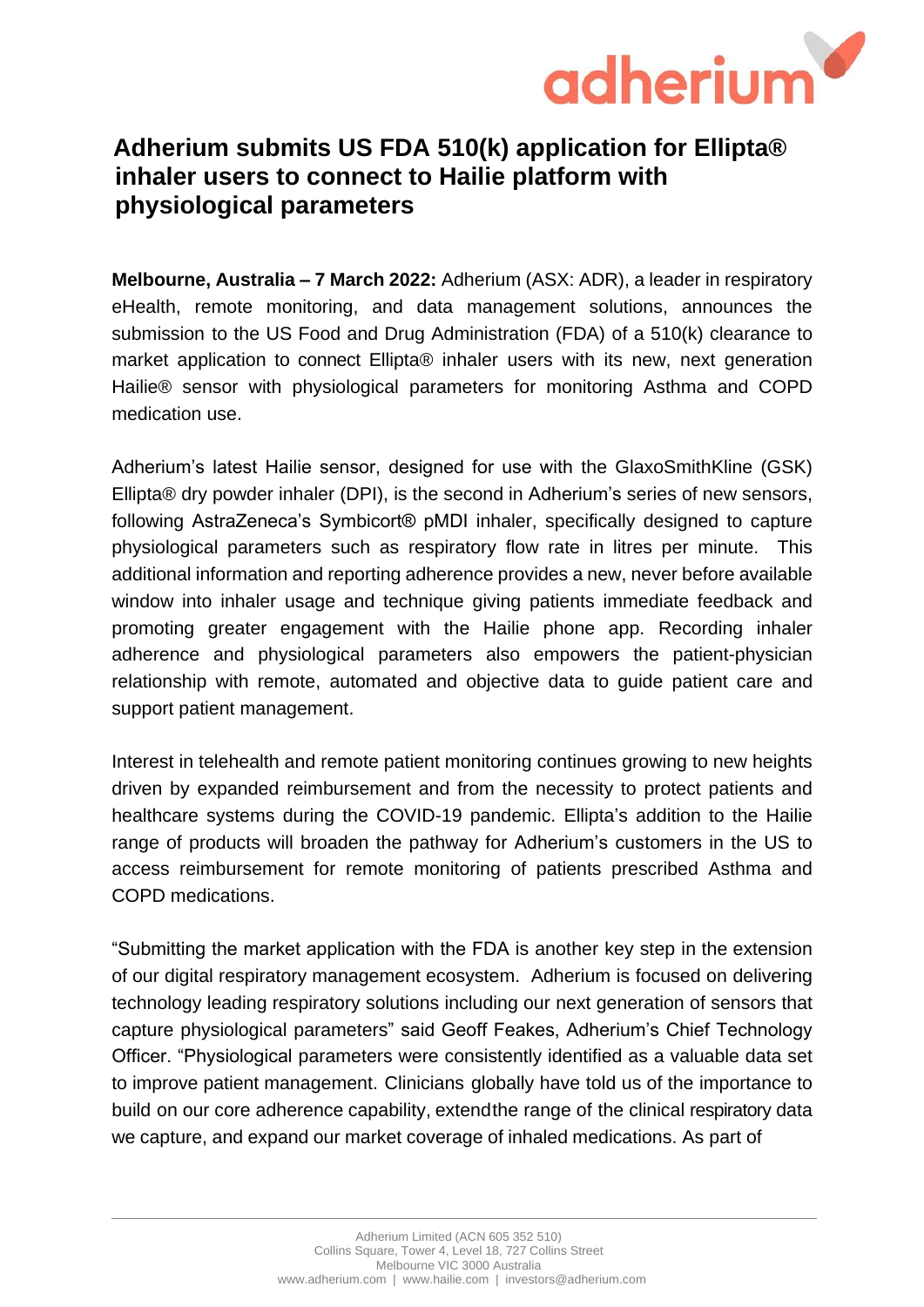

## **Adherium submits US FDA 510(k) application for Ellipta® inhaler users to connect to Hailie platform with physiological parameters**

**Melbourne, Australia – 7 March 2022:** Adherium (ASX: ADR), a leader in respiratory eHealth, remote monitoring, and data management solutions, announces the submission to the US Food and Drug Administration (FDA) of a 510(k) clearance to market application to connect Ellipta® inhaler users with its new, next generation Hailie® sensor with physiological parameters for monitoring Asthma and COPD medication use.

Adherium's latest Hailie sensor, designed for use with the GlaxoSmithKline (GSK) Ellipta® dry powder inhaler (DPI), is the second in Adherium's series of new sensors, following AstraZeneca's Symbicort® pMDI inhaler, specifically designed to capture physiological parameters such as respiratory flow rate in litres per minute. This additional information and reporting adherence provides a new, never before available window into inhaler usage and technique giving patients immediate feedback and promoting greater engagement with the Hailie phone app. Recording inhaler adherence and physiological parameters also empowers the patient-physician relationship with remote, automated and objective data to guide patient care and support patient management.

Interest in telehealth and remote patient monitoring continues growing to new heights driven by expanded reimbursement and from the necessity to protect patients and healthcare systems during the COVID-19 pandemic. Ellipta's addition to the Hailie range of products will broaden the pathway for Adherium's customers in the US to access reimbursement for remote monitoring of patients prescribed Asthma and COPD medications.

"Submitting the market application with the FDA is another key step in the extension of our digital respiratory management ecosystem. Adherium is focused on delivering technology leading respiratory solutions including our next generation of sensors that capture physiological parameters" said Geoff Feakes, Adherium's Chief Technology Officer. "Physiological parameters were consistently identified as a valuable data set to improve patient management. Clinicians globally have told us of the importance to build on our core adherence capability, extendthe range of the clinical respiratory data we capture, and expand our market coverage of inhaled medications. As part of